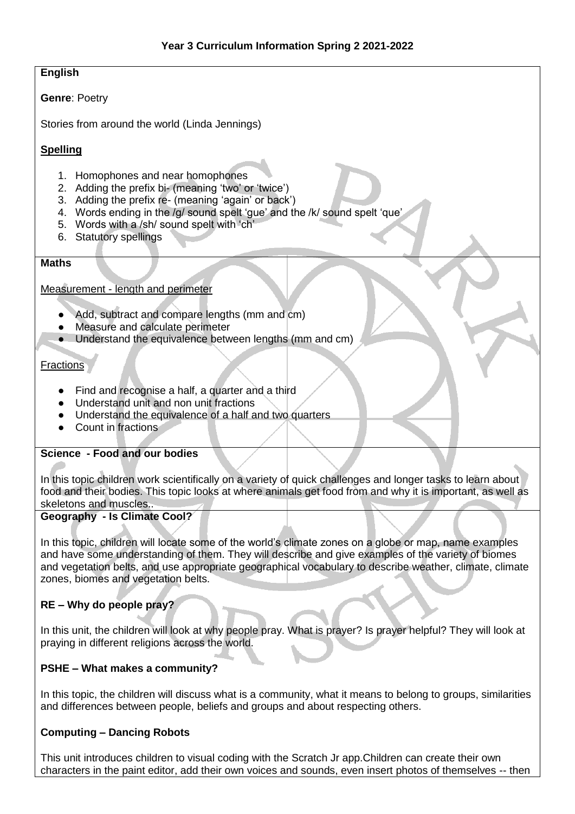## **English**

#### **Genre**: Poetry

Stories from around the world (Linda Jennings)

## **Spelling**

- 1. Homophones and near homophones
- 2. Adding the prefix bi- (meaning 'two' or 'twice')
- 3. Adding the prefix re- (meaning 'again' or back')
- 4. Words ending in the /g/ sound spelt 'gue' and the /k/ sound spelt 'que'
- 5. Words with a /sh/ sound spelt with 'ch'
- 6. Statutory spellings

#### **Maths**

#### Measurement - length and perimeter

- Add, subtract and compare lengths (mm and cm)
- Measure and calculate perimeter
- Understand the equivalence between lengths (mm and cm)

#### **Fractions**

- Find and recognise a half, a quarter and a third
- Understand unit and non unit fractions
- Understand the equivalence of a half and two quarters
- Count in fractions

### **Science - Food and our bodies**

In this topic children work scientifically on a variety of quick challenges and longer tasks to learn about food and their bodies. This topic looks at where animals get food from and why it is important, as well as skeletons and muscles..

### **Geography - Is Climate Cool?**

In this topic, children will locate some of the world's climate zones on a globe or map, name examples and have some understanding of them. They will describe and give examples of the variety of biomes and vegetation belts, and use appropriate geographical vocabulary to describe weather, climate, climate zones, biomes and vegetation belts.

### **RE – Why do people pray?**

In this unit, the children will look at why people pray. What is prayer? Is prayer helpful? They will look at praying in different religions across the world.

### **PSHE – What makes a community?**

In this topic, the children will discuss what is a community, what it means to belong to groups, similarities and differences between people, beliefs and groups and about respecting others.

### **Computing – Dancing Robots**

This unit introduces children to visual coding with the Scratch Jr app.Children can create their own characters in the paint editor, add their own voices and sounds, even insert photos of themselves -- then